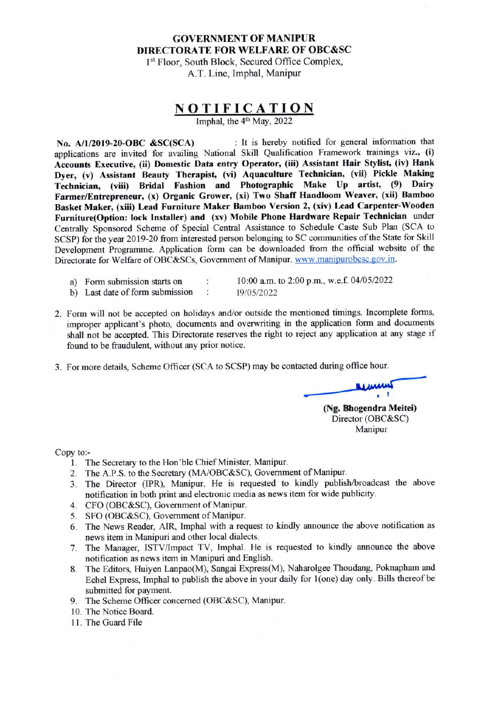## **GOVERNMENT OF MANIPUR DIRECTORATE FOR WELFARE OF OBC&SC**

1st Floor, South Block, Secured Office Complex, A.T. Line, Imphal, Manipur

## $N$  **O T I F I C A T I O N**<br>Imphal. the  $4<sup>th</sup>$  May, 2022

No. A/1/2019-20-OBC &SC(SCA) : It is hereby notified for general information that applications are invited for availing National Skill Qualification Framework trainings viz., (i) Accounts Executive, (ii) Domestic Data entry Operator, (iii) Assistant Hair Stylist, (iv) Hank Dyer, (v) Assistant Beauty Therapist, (vi) Aquaculture Technician, (vii) Pickle Making Technician, (viii) Bridal Fashion and Photographic Make Up artist, (9) Dairy Farmer/Entrepreneur, (x) Organic Grower, (xi) Two Shaff Handloom Weaver, (xii) Bamboo Basket Maker, (xiii) Lead Furniture Maker Bamboo Version 2, (xiv) Lead Carpenter-Wooden Furniture(Option: lock Installer) and (xv) Mobile Phone Hardware Repair Technician under Centrally Sponsored Scheme of Special Central Assistance to Schedule Caste Sub Plan (SCA to SCSP) for the year 2019-20 from interested person belonging to SC communities of the State for Skill Development Programme. Application form can be downloaded from the official website of the Directorate for Welfare of OBC&SCs, Government of Manipur. www.manipurobcsc.gov.in.

- a) Form submission starts on
- b) Last date of form submission  $\ddot{\phantom{a}}$

10:00 a.m. to 2:00 p.m., w.e.f. 04/05/2022 19/05/2022

- 2. Form will not be accepted on holidays and/or outside the mentioned timings. Incomplete forms, improper applicant's photo, documents and overwriting in the application form and documents shall not be accepted. This Directorate reserves the right to reject any application at any stage if found to be fraudulent, without any prior notice.
- 3. For more details, Scheme Officer (SCA to SCSP) may be contacted during office hour.

 $\ddot{\cdot}$ 

**Winners** (Ng. Bhogendra Meitei) Director (OBC&SC) Manipur

Copy to:-

- 1. The Secretary to the Hon'ble Chief Minister, Manipur.
- 2. The A.P.S. to the Secretary (MA/OBC&SC), Government of Manipur.
- 3. The Director (IPR), Manipur. He is requested to kindly publish/broadcast the above notification in both print and electronic media as news item for wide publicity.
- 4. CFO (OBC&SC), Government of Manipur.
- 5. SFO (OBC&SC), Government of Manipur.
- 6. The News Reader, AIR, Imphal with a request to kindly announce the above notification as news item in Manipuri and other local dialects.
- The Manager, ISTV/Impact TV, Imphal. He is requested to kindly announce the above 7. notification as news item in Manipuri and English.
- 8. The Editors, Huiyen Lanpao(M), Sangai Express(M), Naharolgee Thoudang, Poknapham and Echel Express, Imphal to publish the above in your daily for 1(one) day only. Bills thereof be submitted for payment.
- 9. The Scheme Officer concerned (OBC&SC), Manipur.
- 10. The Notice Board.
- 11. The Guard File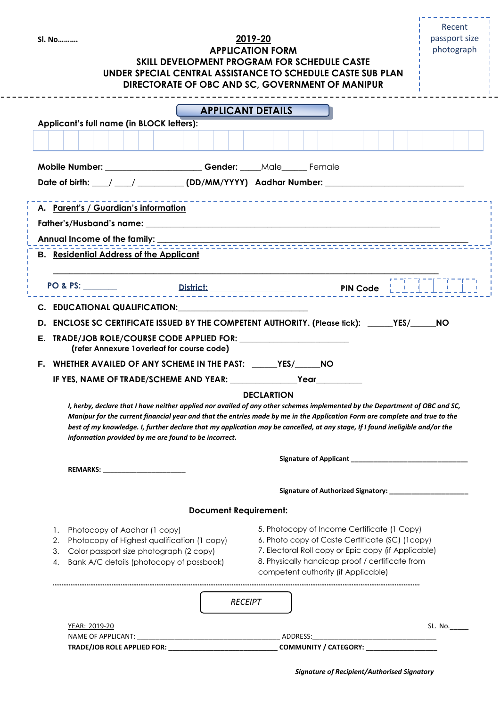| <b>SI. No</b>                                                                             | SKILL DEVELOPMENT PROGRAM FOR SCHEDULE CASTE<br>UNDER SPECIAL CENTRAL ASSISTANCE TO SCHEDULE CASTE SUB PLAN                                                                                                                                                                                                                                                                                                                                          | 2019-20<br><b>APPLICATION FORM</b>                                                                                                            |  | passport size<br>photograph                              |
|-------------------------------------------------------------------------------------------|------------------------------------------------------------------------------------------------------------------------------------------------------------------------------------------------------------------------------------------------------------------------------------------------------------------------------------------------------------------------------------------------------------------------------------------------------|-----------------------------------------------------------------------------------------------------------------------------------------------|--|----------------------------------------------------------|
|                                                                                           | DIRECTORATE OF OBC AND SC, GOVERNMENT OF MANIPUR                                                                                                                                                                                                                                                                                                                                                                                                     |                                                                                                                                               |  |                                                          |
| Applicant's full name (in BLOCK letters):                                                 |                                                                                                                                                                                                                                                                                                                                                                                                                                                      | <b>APPLICANT DETAILS</b>                                                                                                                      |  |                                                          |
|                                                                                           |                                                                                                                                                                                                                                                                                                                                                                                                                                                      |                                                                                                                                               |  |                                                          |
|                                                                                           | Mobile Number: ________________________Gender: _____Male______ Female                                                                                                                                                                                                                                                                                                                                                                                |                                                                                                                                               |  |                                                          |
|                                                                                           | Date of birth: / _/ __/ ________ (DD/MM/YYYY) Aadhar Number: ___________________                                                                                                                                                                                                                                                                                                                                                                     |                                                                                                                                               |  |                                                          |
| A. Parent's / Guardian's information                                                      |                                                                                                                                                                                                                                                                                                                                                                                                                                                      |                                                                                                                                               |  |                                                          |
|                                                                                           |                                                                                                                                                                                                                                                                                                                                                                                                                                                      |                                                                                                                                               |  |                                                          |
|                                                                                           |                                                                                                                                                                                                                                                                                                                                                                                                                                                      |                                                                                                                                               |  |                                                          |
| <b>B.</b> Residential Address of the Applicant                                            |                                                                                                                                                                                                                                                                                                                                                                                                                                                      |                                                                                                                                               |  |                                                          |
|                                                                                           |                                                                                                                                                                                                                                                                                                                                                                                                                                                      |                                                                                                                                               |  |                                                          |
|                                                                                           |                                                                                                                                                                                                                                                                                                                                                                                                                                                      |                                                                                                                                               |  |                                                          |
|                                                                                           |                                                                                                                                                                                                                                                                                                                                                                                                                                                      |                                                                                                                                               |  |                                                          |
|                                                                                           | C. EDUCATIONAL QUALIFICATION: C. COMPONENT CONTRACT ON A SALE AND THE CONTRACT OF SALE AND THE CONTRACT OF SALE AND THE CONTRACT OF SALE AND THE CONTRACT OF SALE AND THE CONTRACT OF SALE AND THE CONTRACT OF SALE AND THE CO                                                                                                                                                                                                                       |                                                                                                                                               |  |                                                          |
|                                                                                           | D. ENCLOSE SC CERTIFICATE ISSUED BY THE COMPETENT AUTHORITY. (Please fick): _____YES/_____NO                                                                                                                                                                                                                                                                                                                                                         |                                                                                                                                               |  |                                                          |
|                                                                                           | (refer Annexure 1overleaf for course code)                                                                                                                                                                                                                                                                                                                                                                                                           |                                                                                                                                               |  |                                                          |
|                                                                                           | F. WHETHER AVAILED OF ANY SCHEME IN THE PAST: ______YES/_______NO                                                                                                                                                                                                                                                                                                                                                                                    |                                                                                                                                               |  |                                                          |
|                                                                                           | IF YES, NAME OF TRADE/SCHEME AND YEAR: University of the MESS of the MESS of the MESS of the MESS of the MESS o                                                                                                                                                                                                                                                                                                                                      | Year                                                                                                                                          |  |                                                          |
|                                                                                           |                                                                                                                                                                                                                                                                                                                                                                                                                                                      | <b>DECLARTION</b>                                                                                                                             |  |                                                          |
|                                                                                           | I, herby, declare that I have neither applied nor availed of any other schemes implemented by the Department of OBC and SC,<br>Manipur for the current financial year and that the entries made by me in the Application Form are complete and true to the<br>best of my knowledge. I, further declare that my application may be cancelled, at any stage, If I found ineligible and/or the<br>information provided by me are found to be incorrect. |                                                                                                                                               |  |                                                          |
|                                                                                           |                                                                                                                                                                                                                                                                                                                                                                                                                                                      |                                                                                                                                               |  |                                                          |
| REMARKS: ________________________                                                         |                                                                                                                                                                                                                                                                                                                                                                                                                                                      |                                                                                                                                               |  |                                                          |
|                                                                                           |                                                                                                                                                                                                                                                                                                                                                                                                                                                      |                                                                                                                                               |  | Signature of Authorized Signatory: _____________________ |
|                                                                                           | <b>Document Requirement:</b>                                                                                                                                                                                                                                                                                                                                                                                                                         |                                                                                                                                               |  |                                                          |
| 1. Photocopy of Aadhar (1 copy)                                                           |                                                                                                                                                                                                                                                                                                                                                                                                                                                      | 5. Photocopy of Income Certificate (1 Copy)                                                                                                   |  |                                                          |
| 2. Photocopy of Highest qualification (1 copy)                                            |                                                                                                                                                                                                                                                                                                                                                                                                                                                      | 6. Photo copy of Caste Certificate (SC) (1copy)                                                                                               |  |                                                          |
| 3. Color passport size photograph (2 copy)<br>4. Bank A/C details (photocopy of passbook) |                                                                                                                                                                                                                                                                                                                                                                                                                                                      | 7. Electoral Roll copy or Epic copy (if Applicable)<br>8. Physically handicap proof / certificate from<br>competent authority (if Applicable) |  |                                                          |
|                                                                                           |                                                                                                                                                                                                                                                                                                                                                                                                                                                      | <b>RECEIPT</b>                                                                                                                                |  |                                                          |
| YEAR: 2019-20                                                                             |                                                                                                                                                                                                                                                                                                                                                                                                                                                      |                                                                                                                                               |  | SL. No.                                                  |

 *Signature of Recipient/Authorised Signatory*